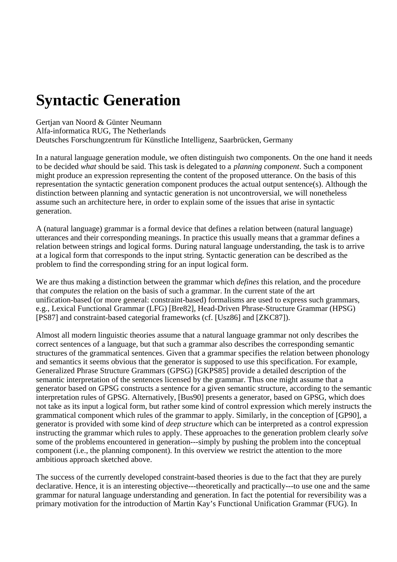# **Syntactic Generation**

Gertjan van Noord & Günter Neumann Alfa-informatica RUG, The Netherlands Deutsches Forschungzentrum für Künstliche Intelligenz, Saarbrücken, Germany

In a natural language generation module, we often distinguish two components. On the one hand it needs to be decided *what* should be said. This task is delegated to a *planning component*. Such a component might produce an expression representing the content of the proposed utterance. On the basis of this representation the syntactic generation component produces the actual output sentence(s). Although the distinction between planning and syntactic generation is not uncontroversial, we will nonetheless assume such an architecture here, in order to explain some of the issues that arise in syntactic generation.

A (natural language) grammar is a formal device that defines a relation between (natural language) utterances and their corresponding meanings. In practice this usually means that a grammar defines a relation between strings and logical forms. During natural language understanding, the task is to arrive at a logical form that corresponds to the input string. Syntactic generation can be described as the problem to find the corresponding string for an input logical form.

We are thus making a distinction between the grammar which *defines* this relation, and the procedure that *computes* the relation on the basis of such a grammar. In the current state of the art unification-based (or more general: constraint-based) formalisms are used to express such grammars, e.g., Lexical Functional Grammar (LFG) [Bre82], Head-Driven Phrase-Structure Grammar (HPSG) [PS87] and constraint-based categorial frameworks (cf. [Usz86] and [ZKC87]).

Almost all modern linguistic theories assume that a natural language grammar not only describes the correct sentences of a language, but that such a grammar also describes the corresponding semantic structures of the grammatical sentences. Given that a grammar specifies the relation between phonology and semantics it seems obvious that the generator is supposed to use this specification. For example, Generalized Phrase Structure Grammars (GPSG) [GKPS85] provide a detailed description of the semantic interpretation of the sentences licensed by the grammar. Thus one might assume that a generator based on GPSG constructs a sentence for a given semantic structure, according to the semantic interpretation rules of GPSG. Alternatively, [Bus90] presents a generator, based on GPSG, which does not take as its input a logical form, but rather some kind of control expression which merely instructs the grammatical component which rules of the grammar to apply. Similarly, in the conception of [GP90], a generator is provided with some kind of *deep structure* which can be interpreted as a control expression instructing the grammar which rules to apply. These approaches to the generation problem clearly *solve* some of the problems encountered in generation---simply by pushing the problem into the conceptual component (i.e., the planning component). In this overview we restrict the attention to the more ambitious approach sketched above.

The success of the currently developed constraint-based theories is due to the fact that they are purely declarative. Hence, it is an interesting objective---theoretically and practically---to use one and the same grammar for natural language understanding and generation. In fact the potential for reversibility was a primary motivation for the introduction of Martin Kay's Functional Unification Grammar (FUG). In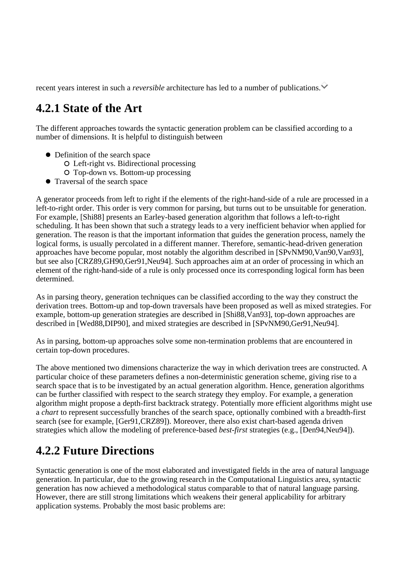recent years interest in such a *reversible* architecture has led to a number of publications.

# **4.2.1 State of the Art**

The different approaches towards the syntactic generation problem can be classified according to a number of dimensions. It is helpful to distinguish between

- Definition of the search space
	- Left-right vs. Bidirectional processing
	- Top-down vs. Bottom-up processing
- Traversal of the search space

A generator proceeds from left to right if the elements of the right-hand-side of a rule are processed in a left-to-right order. This order is very common for parsing, but turns out to be unsuitable for generation. For example, [Shi88] presents an Earley-based generation algorithm that follows a left-to-right scheduling. It has been shown that such a strategy leads to a very inefficient behavior when applied for generation. The reason is that the important information that guides the generation process, namely the logical forms, is usually percolated in a different manner. Therefore, semantic-head-driven generation approaches have become popular, most notably the algorithm described in [SPvNM90,Van90,Van93], but see also [CRZ89,GH90,Ger91,Neu94]. Such approaches aim at an order of processing in which an element of the right-hand-side of a rule is only processed once its corresponding logical form has been determined.

As in parsing theory, generation techniques can be classified according to the way they construct the derivation trees. Bottom-up and top-down traversals have been proposed as well as mixed strategies. For example, bottom-up generation strategies are described in [Shi88,Van93], top-down approaches are described in [Wed88,DIP90], and mixed strategies are described in [SPvNM90,Ger91,Neu94].

As in parsing, bottom-up approaches solve some non-termination problems that are encountered in certain top-down procedures.

The above mentioned two dimensions characterize the way in which derivation trees are constructed. A particular choice of these parameters defines a non-deterministic generation scheme, giving rise to a search space that is to be investigated by an actual generation algorithm. Hence, generation algorithms can be further classified with respect to the search strategy they employ. For example, a generation algorithm might propose a depth-first backtrack strategy. Potentially more efficient algorithms might use a *chart* to represent successfully branches of the search space, optionally combined with a breadth-first search (see for example, [Ger91,CRZ89]). Moreover, there also exist chart-based agenda driven strategies which allow the modeling of preference-based *best-first* strategies (e.g., [Den94,Neu94]).

# **4.2.2 Future Directions**

Syntactic generation is one of the most elaborated and investigated fields in the area of natural language generation. In particular, due to the growing research in the Computational Linguistics area, syntactic generation has now achieved a methodological status comparable to that of natural language parsing. However, there are still strong limitations which weakens their general applicability for arbitrary application systems. Probably the most basic problems are: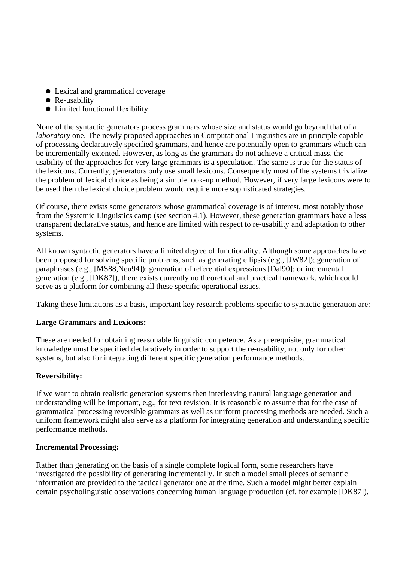- Lexical and grammatical coverage
- Re-usability
- Limited functional flexibility

None of the syntactic generators process grammars whose size and status would go beyond that of a *laboratory* one. The newly proposed approaches in Computational Linguistics are in principle capable of processing declaratively specified grammars, and hence are potentially open to grammars which can be incrementally extented. However, as long as the grammars do not achieve a critical mass, the usability of the approaches for very large grammars is a speculation. The same is true for the status of the lexicons. Currently, generators only use small lexicons. Consequently most of the systems trivialize the problem of lexical choice as being a simple look-up method. However, if very large lexicons were to be used then the lexical choice problem would require more sophisticated strategies.

Of course, there exists some generators whose grammatical coverage is of interest, most notably those from the Systemic Linguistics camp (see section 4.1). However, these generation grammars have a less transparent declarative status, and hence are limited with respect to re-usability and adaptation to other systems.

All known syntactic generators have a limited degree of functionality. Although some approaches have been proposed for solving specific problems, such as generating ellipsis (e.g., [JW82]); generation of paraphrases (e.g., [MS88,Neu94]); generation of referential expressions [Dal90]; or incremental generation (e.g., [DK87]), there exists currently no theoretical and practical framework, which could serve as a platform for combining all these specific operational issues.

Taking these limitations as a basis, important key research problems specific to syntactic generation are:

# **Large Grammars and Lexicons:**

These are needed for obtaining reasonable linguistic competence. As a prerequisite, grammatical knowledge must be specified declaratively in order to support the re-usability, not only for other systems, but also for integrating different specific generation performance methods.

# **Reversibility:**

If we want to obtain realistic generation systems then interleaving natural language generation and understanding will be important, e.g., for text revision. It is reasonable to assume that for the case of grammatical processing reversible grammars as well as uniform processing methods are needed. Such a uniform framework might also serve as a platform for integrating generation and understanding specific performance methods.

# **Incremental Processing:**

Rather than generating on the basis of a single complete logical form, some researchers have investigated the possibility of generating incrementally. In such a model small pieces of semantic information are provided to the tactical generator one at the time. Such a model might better explain certain psycholinguistic observations concerning human language production (cf. for example [DK87]).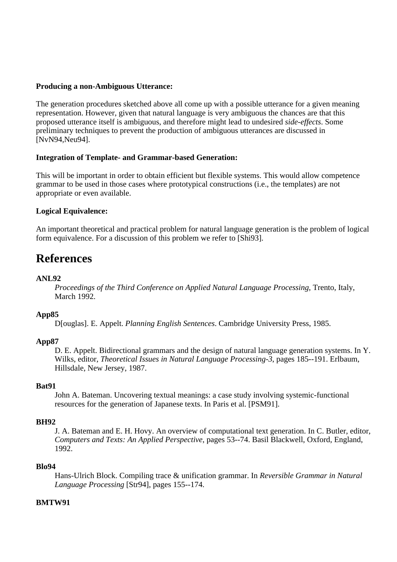# **Producing a non-Ambiguous Utterance:**

The generation procedures sketched above all come up with a possible utterance for a given meaning representation. However, given that natural language is very ambiguous the chances are that this proposed utterance itself is ambiguous, and therefore might lead to undesired *side-effects*. Some preliminary techniques to prevent the production of ambiguous utterances are discussed in [NvN94,Neu94].

# **Integration of Template- and Grammar-based Generation:**

This will be important in order to obtain efficient but flexible systems. This would allow competence grammar to be used in those cases where prototypical constructions (i.e., the templates) are not appropriate or even available.

# **Logical Equivalence:**

An important theoretical and practical problem for natural language generation is the problem of logical form equivalence. For a discussion of this problem we refer to [Shi93].

# **References**

# **ANL92**

*Proceedings of the Third Conference on Applied Natural Language Processing*, Trento, Italy, March 1992.

# **App85**

D[ouglas]. E. Appelt. *Planning English Sentences*. Cambridge University Press, 1985.

# **App87**

D. E. Appelt. Bidirectional grammars and the design of natural language generation systems. In Y. Wilks, editor, *Theoretical Issues in Natural Language Processing-3*, pages 185--191. Erlbaum, Hillsdale, New Jersey, 1987.

# **Bat91**

John A. Bateman. Uncovering textual meanings: a case study involving systemic-functional resources for the generation of Japanese texts. In Paris et al. [PSM91].

# **BH92**

J. A. Bateman and E. H. Hovy. An overview of computational text generation. In C. Butler, editor, *Computers and Texts: An Applied Perspective*, pages 53--74. Basil Blackwell, Oxford, England, 1992.

# **Blo94**

Hans-Ulrich Block. Compiling trace & unification grammar. In *Reversible Grammar in Natural Language Processing* [Str94], pages 155--174.

# **BMTW91**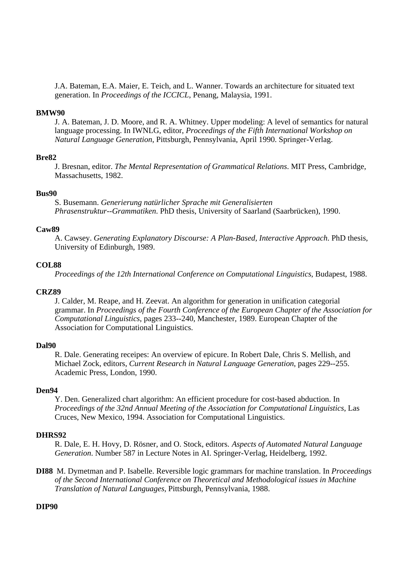J.A. Bateman, E.A. Maier, E. Teich, and L. Wanner. Towards an architecture for situated text generation. In *Proceedings of the ICCICL*, Penang, Malaysia, 1991.

#### **BMW90**

J. A. Bateman, J. D. Moore, and R. A. Whitney. Upper modeling: A level of semantics for natural language processing. In IWNLG, editor, *Proceedings of the Fifth International Workshop on Natural Language Generation*, Pittsburgh, Pennsylvania, April 1990. Springer-Verlag.

#### **Bre82**

J. Bresnan, editor. *The Mental Representation of Grammatical Relations*. MIT Press, Cambridge, Massachusetts, 1982.

#### **Bus90**

S. Busemann. *Generierung natürlicher Sprache mit Generalisierten Phrasenstruktur--Grammatiken*. PhD thesis, University of Saarland (Saarbrücken), 1990.

#### **Caw89**

A. Cawsey. *Generating Explanatory Discourse: A Plan-Based, Interactive Approach*. PhD thesis, University of Edinburgh, 1989.

#### **COL88**

*Proceedings of the 12th International Conference on Computational Linguistics*, Budapest, 1988.

#### **CRZ89**

J. Calder, M. Reape, and H. Zeevat. An algorithm for generation in unification categorial grammar. In *Proceedings of the Fourth Conference of the European Chapter of the Association for Computational Linguistics*, pages 233--240, Manchester, 1989. European Chapter of the Association for Computational Linguistics.

#### **Dal90**

R. Dale. Generating receipes: An overview of epicure. In Robert Dale, Chris S. Mellish, and Michael Zock, editors, *Current Research in Natural Language Generation*, pages 229--255. Academic Press, London, 1990.

#### **Den94**

Y. Den. Generalized chart algorithm: An efficient procedure for cost-based abduction. In *Proceedings of the 32nd Annual Meeting of the Association for Computational Linguistics*, Las Cruces, New Mexico, 1994. Association for Computational Linguistics.

#### **DHRS92**

R. Dale, E. H. Hovy, D. Rösner, and O. Stock, editors. *Aspects of Automated Natural Language Generation*. Number 587 in Lecture Notes in AI. Springer-Verlag, Heidelberg, 1992.

**DI88** M. Dymetman and P. Isabelle. Reversible logic grammars for machine translation. In *Proceedings of the Second International Conference on Theoretical and Methodological issues in Machine Translation of Natural Languages*, Pittsburgh, Pennsylvania, 1988.

#### **DIP90**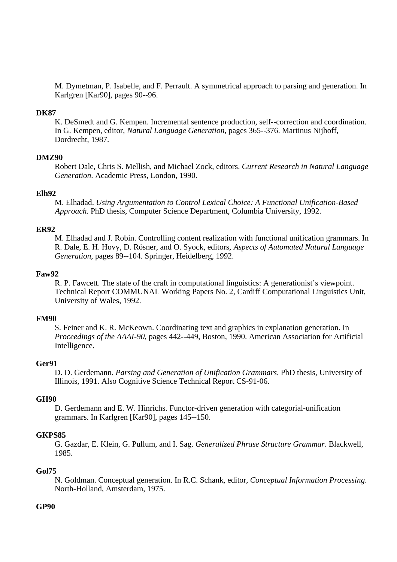M. Dymetman, P. Isabelle, and F. Perrault. A symmetrical approach to parsing and generation. In Karlgren [Kar90], pages 90--96.

#### **DK87**

K. DeSmedt and G. Kempen. Incremental sentence production, self--correction and coordination. In G. Kempen, editor, *Natural Language Generation*, pages 365--376. Martinus Nijhoff, Dordrecht, 1987.

#### **DMZ90**

Robert Dale, Chris S. Mellish, and Michael Zock, editors. *Current Research in Natural Language Generation*. Academic Press, London, 1990.

#### **Elh92**

M. Elhadad. *Using Argumentation to Control Lexical Choice: A Functional Unification-Based Approach*. PhD thesis, Computer Science Department, Columbia University, 1992.

#### **ER92**

M. Elhadad and J. Robin. Controlling content realization with functional unification grammars. In R. Dale, E. H. Hovy, D. Rösner, and O. Syock, editors, *Aspects of Automated Natural Language Generation*, pages 89--104. Springer, Heidelberg, 1992.

#### **Faw92**

R. P. Fawcett. The state of the craft in computational linguistics: A generationist's viewpoint. Technical Report COMMUNAL Working Papers No. 2, Cardiff Computational Linguistics Unit, University of Wales, 1992.

#### **FM90**

S. Feiner and K. R. McKeown. Coordinating text and graphics in explanation generation. In *Proceedings of the AAAI-90*, pages 442--449, Boston, 1990. American Association for Artificial Intelligence.

#### **Ger91**

D. D. Gerdemann. *Parsing and Generation of Unification Grammars*. PhD thesis, University of Illinois, 1991. Also Cognitive Science Technical Report CS-91-06.

#### **GH90**

D. Gerdemann and E. W. Hinrichs. Functor-driven generation with categorial-unification grammars. In Karlgren [Kar90], pages 145--150.

# **GKPS85**

G. Gazdar, E. Klein, G. Pullum, and I. Sag. *Generalized Phrase Structure Grammar*. Blackwell, 1985.

### **Gol75**

N. Goldman. Conceptual generation. In R.C. Schank, editor, *Conceptual Information Processing*. North-Holland, Amsterdam, 1975.

#### **GP90**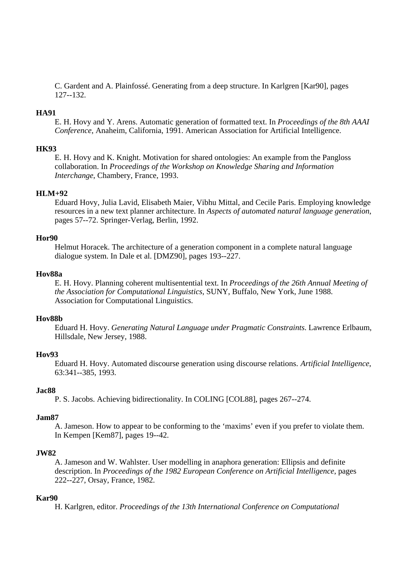C. Gardent and A. Plainfossé. Generating from a deep structure. In Karlgren [Kar90], pages 127--132.

#### **HA91**

E. H. Hovy and Y. Arens. Automatic generation of formatted text. In *Proceedings of the 8th AAAI Conference*, Anaheim, California, 1991. American Association for Artificial Intelligence.

#### **HK93**

E. H. Hovy and K. Knight. Motivation for shared ontologies: An example from the Pangloss collaboration. In *Proceedings of the Workshop on Knowledge Sharing and Information Interchange*, Chambery, France, 1993.

#### **HLM+92**

Eduard Hovy, Julia Lavid, Elisabeth Maier, Vibhu Mittal, and Cecile Paris. Employing knowledge resources in a new text planner architecture. In *Aspects of automated natural language generation*, pages 57--72. Springer-Verlag, Berlin, 1992.

#### **Hor90**

Helmut Horacek. The architecture of a generation component in a complete natural language dialogue system. In Dale et al. [DMZ90], pages 193--227.

#### **Hov88a**

E. H. Hovy. Planning coherent multisentential text. In *Proceedings of the 26th Annual Meeting of the Association for Computational Linguistics*, SUNY, Buffalo, New York, June 1988. Association for Computational Linguistics.

#### **Hov88b**

Eduard H. Hovy. *Generating Natural Language under Pragmatic Constraints*. Lawrence Erlbaum, Hillsdale, New Jersey, 1988.

#### **Hov93**

Eduard H. Hovy. Automated discourse generation using discourse relations. *Artificial Intelligence*, 63:341--385, 1993.

#### **Jac88**

P. S. Jacobs. Achieving bidirectionality. In COLING [COL88], pages 267--274.

#### **Jam87**

A. Jameson. How to appear to be conforming to the 'maxims' even if you prefer to violate them. In Kempen [Kem87], pages 19--42.

#### **JW82**

A. Jameson and W. Wahlster. User modelling in anaphora generation: Ellipsis and definite description. In *Proceedings of the 1982 European Conference on Artificial Intelligence*, pages 222--227, Orsay, France, 1982.

#### **Kar90**

H. Karlgren, editor. *Proceedings of the 13th International Conference on Computational*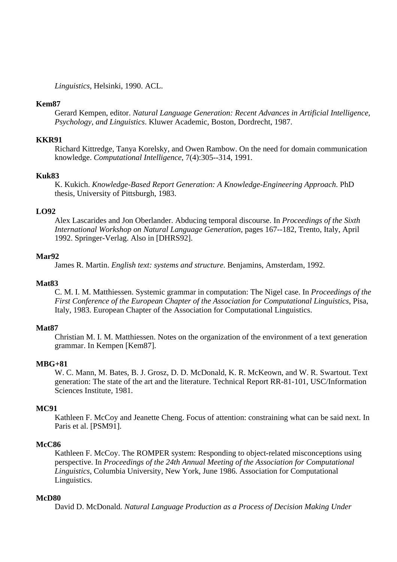*Linguistics*, Helsinki, 1990. ACL.

#### **Kem87**

Gerard Kempen, editor. *Natural Language Generation: Recent Advances in Artificial Intelligence, Psychology, and Linguistics*. Kluwer Academic, Boston, Dordrecht, 1987.

#### **KKR91**

Richard Kittredge, Tanya Korelsky, and Owen Rambow. On the need for domain communication knowledge. *Computational Intelligence*, 7(4):305--314, 1991.

#### **Kuk83**

K. Kukich. *Knowledge-Based Report Generation: A Knowledge-Engineering Approach*. PhD thesis, University of Pittsburgh, 1983.

#### **LO92**

Alex Lascarides and Jon Oberlander. Abducing temporal discourse. In *Proceedings of the Sixth International Workshop on Natural Language Generation*, pages 167--182, Trento, Italy, April 1992. Springer-Verlag. Also in [DHRS92].

#### **Mar92**

James R. Martin. *English text: systems and structure*. Benjamins, Amsterdam, 1992.

#### **Mat83**

C. M. I. M. Matthiessen. Systemic grammar in computation: The Nigel case. In *Proceedings of the First Conference of the European Chapter of the Association for Computational Linguistics*, Pisa, Italy, 1983. European Chapter of the Association for Computational Linguistics.

#### **Mat87**

Christian M. I. M. Matthiessen. Notes on the organization of the environment of a text generation grammar. In Kempen [Kem87].

#### **MBG+81**

W. C. Mann, M. Bates, B. J. Grosz, D. D. McDonald, K. R. McKeown, and W. R. Swartout. Text generation: The state of the art and the literature. Technical Report RR-81-101, USC/Information Sciences Institute, 1981.

#### **MC91**

Kathleen F. McCoy and Jeanette Cheng. Focus of attention: constraining what can be said next. In Paris et al. [PSM91].

#### **McC86**

Kathleen F. McCoy. The ROMPER system: Responding to object-related misconceptions using perspective. In *Proceedings of the 24th Annual Meeting of the Association for Computational Linguistics*, Columbia University, New York, June 1986. Association for Computational Linguistics.

#### **McD80**

David D. McDonald. *Natural Language Production as a Process of Decision Making Under*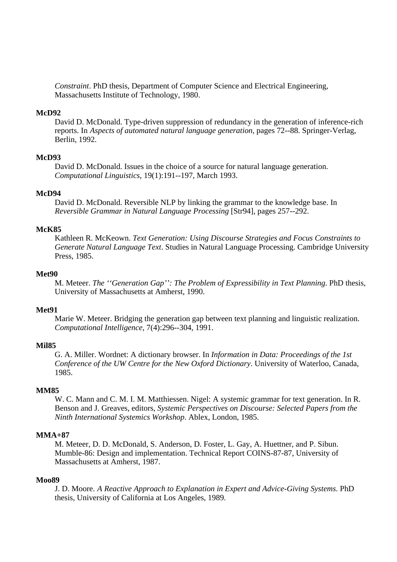*Constraint*. PhD thesis, Department of Computer Science and Electrical Engineering, Massachusetts Institute of Technology, 1980.

#### **McD92**

David D. McDonald. Type-driven suppression of redundancy in the generation of inference-rich reports. In *Aspects of automated natural language generation*, pages 72--88. Springer-Verlag, Berlin, 1992.

#### **McD93**

David D. McDonald. Issues in the choice of a source for natural language generation. *Computational Linguistics*, 19(1):191--197, March 1993.

#### **McD94**

David D. McDonald. Reversible NLP by linking the grammar to the knowledge base. In *Reversible Grammar in Natural Language Processing* [Str94], pages 257--292.

#### **McK85**

Kathleen R. McKeown. *Text Generation: Using Discourse Strategies and Focus Constraints to Generate Natural Language Text*. Studies in Natural Language Processing. Cambridge University Press, 1985.

#### **Met90**

M. Meteer. *The ''Generation Gap'': The Problem of Expressibility in Text Planning*. PhD thesis, University of Massachusetts at Amherst, 1990.

#### **Met91**

Marie W. Meteer. Bridging the generation gap between text planning and linguistic realization. *Computational Intelligence*, 7(4):296--304, 1991.

#### **Mil85**

G. A. Miller. Wordnet: A dictionary browser. In *Information in Data: Proceedings of the 1st Conference of the UW Centre for the New Oxford Dictionary*. University of Waterloo, Canada, 1985.

# **MM85**

W. C. Mann and C. M. I. M. Matthiessen. Nigel: A systemic grammar for text generation. In R. Benson and J. Greaves, editors, *Systemic Perspectives on Discourse: Selected Papers from the Ninth International Systemics Workshop*. Ablex, London, 1985.

#### **MMA+87**

M. Meteer, D. D. McDonald, S. Anderson, D. Foster, L. Gay, A. Huettner, and P. Sibun. Mumble-86: Design and implementation. Technical Report COINS-87-87, University of Massachusetts at Amherst, 1987.

### **Moo89**

J. D. Moore. *A Reactive Approach to Explanation in Expert and Advice-Giving Systems*. PhD thesis, University of California at Los Angeles, 1989.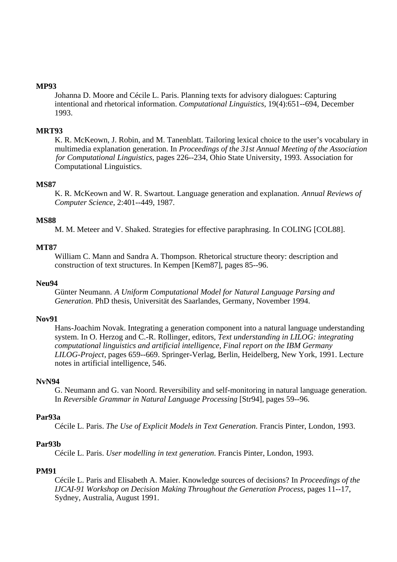#### **MP93**

Johanna D. Moore and Cécile L. Paris. Planning texts for advisory dialogues: Capturing intentional and rhetorical information. *Computational Linguistics*, 19(4):651--694, December 1993.

#### **MRT93**

K. R. McKeown, J. Robin, and M. Tanenblatt. Tailoring lexical choice to the user's vocabulary in multimedia explanation generation. In *Proceedings of the 31st Annual Meeting of the Association for Computational Linguistics*, pages 226--234, Ohio State University, 1993. Association for Computational Linguistics.

#### **MS87**

K. R. McKeown and W. R. Swartout. Language generation and explanation. *Annual Reviews of Computer Science*, 2:401--449, 1987.

#### **MS88**

M. M. Meteer and V. Shaked. Strategies for effective paraphrasing. In COLING [COL88].

#### **MT87**

William C. Mann and Sandra A. Thompson. Rhetorical structure theory: description and construction of text structures. In Kempen [Kem87], pages 85--96.

#### **Neu94**

Günter Neumann. *A Uniform Computational Model for Natural Language Parsing and Generation*. PhD thesis, Universität des Saarlandes, Germany, November 1994.

#### **Nov91**

Hans-Joachim Novak. Integrating a generation component into a natural language understanding system. In O. Herzog and C.-R. Rollinger, editors, *Text understanding in LILOG: integrating computational linguistics and artificial intelligence, Final report on the IBM Germany LILOG-Project*, pages 659--669. Springer-Verlag, Berlin, Heidelberg, New York, 1991. Lecture notes in artificial intelligence, 546.

#### **NvN94**

G. Neumann and G. van Noord. Reversibility and self-monitoring in natural language generation. In *Reversible Grammar in Natural Language Processing* [Str94], pages 59--96.

#### **Par93a**

Cécile L. Paris. *The Use of Explicit Models in Text Generation*. Francis Pinter, London, 1993.

#### **Par93b**

Cécile L. Paris. *User modelling in text generation*. Francis Pinter, London, 1993.

### **PM91**

Cécile L. Paris and Elisabeth A. Maier. Knowledge sources of decisions? In *Proceedings of the IJCAI-91 Workshop on Decision Making Throughout the Generation Process*, pages 11--17, Sydney, Australia, August 1991.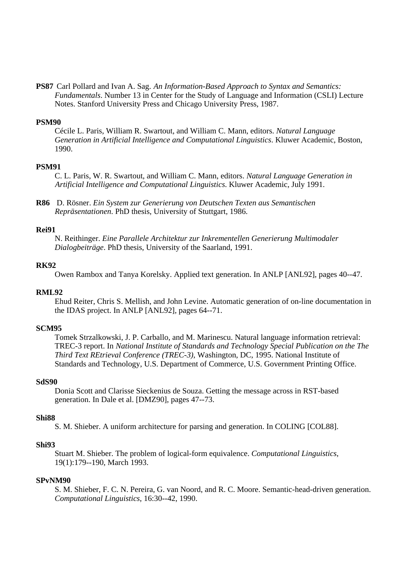**PS87** Carl Pollard and Ivan A. Sag. *An Information-Based Approach to Syntax and Semantics: Fundamentals*. Number 13 in Center for the Study of Language and Information (CSLI) Lecture Notes. Stanford University Press and Chicago University Press, 1987.

#### **PSM90**

Cécile L. Paris, William R. Swartout, and William C. Mann, editors. *Natural Language Generation in Artificial Intelligence and Computational Linguistics*. Kluwer Academic, Boston, 1990.

#### **PSM91**

C. L. Paris, W. R. Swartout, and William C. Mann, editors. *Natural Language Generation in Artificial Intelligence and Computational Linguistics*. Kluwer Academic, July 1991.

**R86** D. Rösner. *Ein System zur Generierung von Deutschen Texten aus Semantischen Repräsentationen*. PhD thesis, University of Stuttgart, 1986.

#### **Rei91**

N. Reithinger. *Eine Parallele Architektur zur Inkrementellen Generierung Multimodaler Dialogbeiträge*. PhD thesis, University of the Saarland, 1991.

#### **RK92**

Owen Rambox and Tanya Korelsky. Applied text generation. In ANLP [ANL92], pages 40--47.

#### **RML92**

Ehud Reiter, Chris S. Mellish, and John Levine. Automatic generation of on-line documentation in the IDAS project. In ANLP [ANL92], pages 64--71.

#### **SCM95**

Tomek Strzalkowski, J. P. Carballo, and M. Marinescu. Natural language information retrieval: TREC-3 report. In *National Institute of Standards and Technology Special Publication on the The Third Text REtrieval Conference (TREC-3)*, Washington, DC, 1995. National Institute of Standards and Technology, U.S. Department of Commerce, U.S. Government Printing Office.

# **SdS90**

Donia Scott and Clarisse Sieckenius de Souza. Getting the message across in RST-based generation. In Dale et al. [DMZ90], pages 47--73.

#### **Shi88**

S. M. Shieber. A uniform architecture for parsing and generation. In COLING [COL88].

#### **Shi93**

Stuart M. Shieber. The problem of logical-form equivalence. *Computational Linguistics*, 19(1):179--190, March 1993.

#### **SPvNM90**

S. M. Shieber, F. C. N. Pereira, G. van Noord, and R. C. Moore. Semantic-head-driven generation. *Computational Linguistics*, 16:30--42, 1990.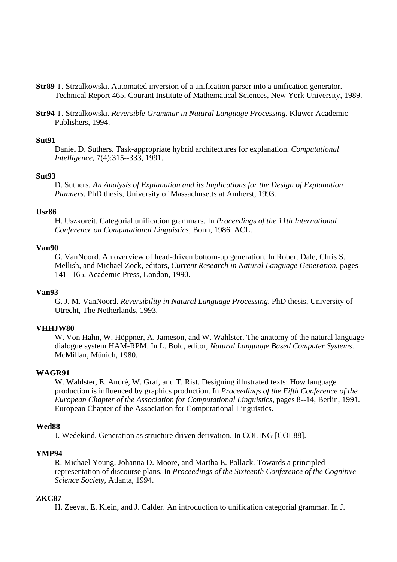- **Str89** T. Strzalkowski. Automated inversion of a unification parser into a unification generator. Technical Report 465, Courant Institute of Mathematical Sciences, New York University, 1989.
- **Str94** T. Strzalkowski. *Reversible Grammar in Natural Language Processing*. Kluwer Academic Publishers, 1994.

#### **Sut91**

Daniel D. Suthers. Task-appropriate hybrid architectures for explanation. *Computational Intelligence*, 7(4):315--333, 1991.

#### **Sut93**

D. Suthers. *An Analysis of Explanation and its Implications for the Design of Explanation Planners*. PhD thesis, University of Massachusetts at Amherst, 1993.

#### **Usz86**

H. Uszkoreit. Categorial unification grammars. In *Proceedings of the 11th International Conference on Computational Linguistics*, Bonn, 1986. ACL.

#### **Van90**

G. VanNoord. An overview of head-driven bottom-up generation. In Robert Dale, Chris S. Mellish, and Michael Zock, editors, *Current Research in Natural Language Generation*, pages 141--165. Academic Press, London, 1990.

#### **Van93**

G. J. M. VanNoord. *Reversibility in Natural Language Processing*. PhD thesis, University of Utrecht, The Netherlands, 1993.

#### **VHHJW80**

W. Von Hahn, W. Höppner, A. Jameson, and W. Wahlster. The anatomy of the natural language dialogue system HAM-RPM. In L. Bolc, editor, *Natural Language Based Computer Systems*. McMillan, Münich, 1980.

#### **WAGR91**

W. Wahlster, E. André, W. Graf, and T. Rist. Designing illustrated texts: How language production is influenced by graphics production. In *Proceedings of the Fifth Conference of the European Chapter of the Association for Computational Linguistics*, pages 8--14, Berlin, 1991. European Chapter of the Association for Computational Linguistics.

#### **Wed88**

J. Wedekind. Generation as structure driven derivation. In COLING [COL88].

#### **YMP94**

R. Michael Young, Johanna D. Moore, and Martha E. Pollack. Towards a principled representation of discourse plans. In *Proceedings of the Sixteenth Conference of the Cognitive Science Society*, Atlanta, 1994.

# **ZKC87**

H. Zeevat, E. Klein, and J. Calder. An introduction to unification categorial grammar. In J.